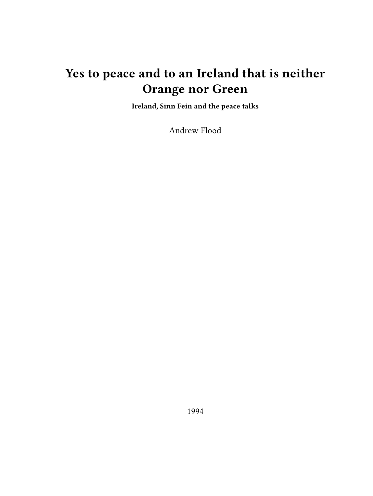# **Yes to peace and to an Ireland that is neither Orange nor Green**

**Ireland, Sinn Fein and the peace talks**

Andrew Flood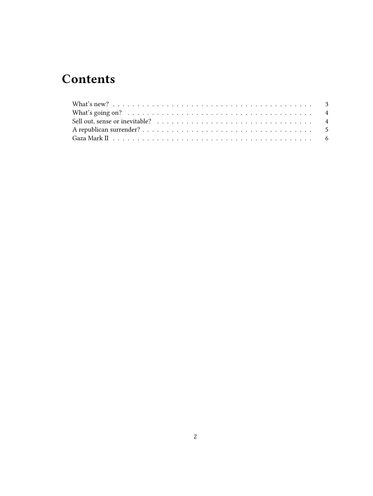## **Contents**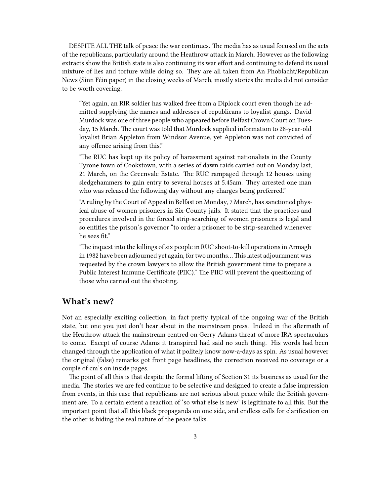DESPITE ALL THE talk of peace the war continues. The media has as usual focused on the acts of the republicans, particularly around the Heathrow attack in March. However as the following extracts show the British state is also continuing its war effort and continuing to defend its usual mixture of lies and torture while doing so. They are all taken from An Phoblacht/Republican News (Sinn Féin paper) in the closing weeks of March, mostly stories the media did not consider to be worth covering.

"Yet again, an RIR soldier has walked free from a Diplock court even though he admitted supplying the names and addresses of republicans to loyalist gangs. David Murdock was one of three people who appeared before Belfast Crown Court on Tuesday, 15 March. The court was told that Murdock supplied information to 28-year-old loyalist Brian Appleton from Windsor Avenue, yet Appleton was not convicted of any offence arising from this."

"The RUC has kept up its policy of harassment against nationalists in the County Tyrone town of Cookstown, with a series of dawn raids carried out on Monday last, 21 March, on the Greenvale Estate. The RUC rampaged through 12 houses using sledgehammers to gain entry to several houses at 5.45am. They arrested one man who was released the following day without any charges being preferred."

"A ruling by the Court of Appeal in Belfast on Monday, 7 March, has sanctioned physical abuse of women prisoners in Six-County jails. It stated that the practices and procedures involved in the forced strip-searching of women prisoners is legal and so entitles the prison's governor "to order a prisoner to be strip-searched whenever he sees fit."

"The inquest into the killings of six people in RUC shoot-to-kill operations in Armagh in 1982 have been adjourned yet again, for two months…This latest adjournment was requested by the crown lawyers to allow the British government time to prepare a Public Interest Immune Certificate (PIIC)." The PIIC will prevent the questioning of those who carried out the shooting.

## <span id="page-2-0"></span>**What's new?**

Not an especially exciting collection, in fact pretty typical of the ongoing war of the British state, but one you just don't hear about in the mainstream press. Indeed in the aftermath of the Heathrow attack the mainstream centred on Gerry Adams threat of more IRA spectaculars to come. Except of course Adams it transpired had said no such thing. His words had been changed through the application of what it politely know now-a-days as spin. As usual however the original (false) remarks got front page headlines, the correction received no coverage or a couple of cm's on inside pages.

The point of all this is that despite the formal lifting of Section 31 its business as usual for the media. The stories we are fed continue to be selective and designed to create a false impression from events, in this case that republicans are not serious about peace while the British government are. To a certain extent a reaction of 'so what else is new' is legitimate to all this. But the important point that all this black propaganda on one side, and endless calls for clarification on the other is hiding the real nature of the peace talks.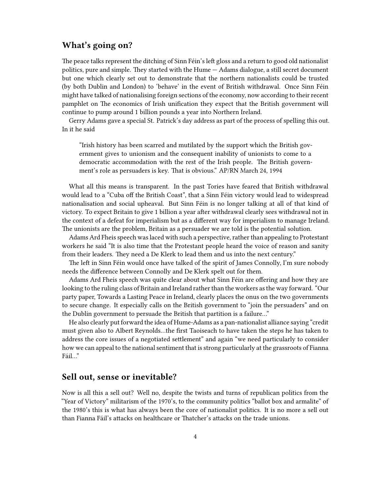## <span id="page-3-0"></span>**What's going on?**

The peace talks represent the ditching of Sinn Féin's left gloss and a return to good old nationalist politics, pure and simple. They started with the Hume — Adams dialogue, a still secret document but one which clearly set out to demonstrate that the northern nationalists could be trusted (by both Dublin and London) to 'behave' in the event of British withdrawal. Once Sinn Féin might have talked of nationalising foreign sections of the economy, now according to their recent pamphlet on The economics of Irish unification they expect that the British government will continue to pump around 1 billion pounds a year into Northern Ireland.

Gerry Adams gave a special St. Patrick's day address as part of the process of spelling this out. In it he said

"Irish history has been scarred and mutilated by the support which the British government gives to unionism and the consequent inability of unionists to come to a democratic accommodation with the rest of the Irish people. The British government's role as persuaders is key. That is obvious." AP/RN March 24, 1994

What all this means is transparent. In the past Tories have feared that British withdrawal would lead to a "Cuba off the British Coast", that a Sinn Féin victory would lead to widespread nationalisation and social upheaval. But Sinn Féin is no longer talking at all of that kind of victory. To expect Britain to give 1 billion a year after withdrawal clearly sees withdrawal not in the context of a defeat for imperialism but as a different way for imperialism to manage Ireland. The unionists are the problem, Britain as a persuader we are told is the potential solution.

Adams Ard Fheis speech was laced with such a perspective, rather than appealing to Protestant workers he said "It is also time that the Protestant people heard the voice of reason and sanity from their leaders. They need a De Klerk to lead them and us into the next century."

The left in Sinn Féin would once have talked of the spirit of James Connolly, I'm sure nobody needs the difference between Connolly and De Klerk spelt out for them.

Adams Ard Fheis speech was quite clear about what Sinn Féin are offering and how they are looking to the ruling class of Britain and Ireland rather than the workers as the way forward. "Our party paper, Towards a Lasting Peace in Ireland, clearly places the onus on the two governments to secure change. It especially calls on the British government to "join the persuaders" and on the Dublin government to persuade the British that partition is a failure…"

He also clearly put forward the idea of Hume-Adams as a pan-nationalist alliance saying "credit must given also to Albert Reynolds…the first Taoiseach to have taken the steps he has taken to address the core issues of a negotiated settlement" and again "we need particularly to consider how we can appeal to the national sentiment that is strong particularly at the grassroots of Fianna Fáil…"

### <span id="page-3-1"></span>**Sell out, sense or inevitable?**

Now is all this a sell out? Well no, despite the twists and turns of republican politics from the "Year of Victory" militarism of the 1970's, to the community politics "ballot box and armalite" of the 1980's this is what has always been the core of nationalist politics. It is no more a sell out than Fianna Fáil's attacks on healthcare or Thatcher's attacks on the trade unions.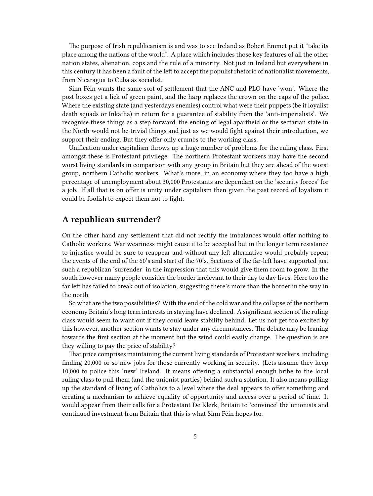The purpose of Irish republicanism is and was to see Ireland as Robert Emmet put it "take its place among the nations of the world". A place which includes those key features of all the other nation states, alienation, cops and the rule of a minority. Not just in Ireland but everywhere in this century it has been a fault of the left to accept the populist rhetoric of nationalist movements, from Nicaragua to Cuba as socialist.

Sinn Féin wants the same sort of settlement that the ANC and PLO have 'won'. Where the post boxes get a lick of green paint, and the harp replaces the crown on the caps of the police. Where the existing state (and yesterdays enemies) control what were their puppets (be it loyalist death squads or Inkatha) in return for a guarantee of stability from the 'anti-imperialists'. We recognise these things as a step forward, the ending of legal apartheid or the sectarian state in the North would not be trivial things and just as we would fight against their introduction, we support their ending. But they offer only crumbs to the working class.

Unification under capitalism throws up a huge number of problems for the ruling class. First amongst these is Protestant privilege. The northern Protestant workers may have the second worst living standards in comparison with any group in Britain but they are ahead of the worst group, northern Catholic workers. What's more, in an economy where they too have a high percentage of unemployment about 30,000 Protestants are dependant on the 'security forces' for a job. If all that is on offer is unity under capitalism then given the past record of loyalism it could be foolish to expect them not to fight.

### <span id="page-4-0"></span>**A republican surrender?**

On the other hand any settlement that did not rectify the imbalances would offer nothing to Catholic workers. War weariness might cause it to be accepted but in the longer term resistance to injustice would be sure to reappear and without any left alternative would probably repeat the events of the end of the 60's and start of the 70's. Sections of the far-left have supported just such a republican 'surrender' in the impression that this would give them room to grow. In the south however many people consider the border irrelevant to their day to day lives. Here too the far left has failed to break out of isolation, suggesting there's more than the border in the way in the north.

So what are the two possibilities? With the end of the cold war and the collapse of the northern economy Britain's long term interests in staying have declined. A significant section of the ruling class would seem to want out if they could leave stability behind. Let us not get too excited by this however, another section wants to stay under any circumstances. The debate may be leaning towards the first section at the moment but the wind could easily change. The question is are they willing to pay the price of stability?

That price comprises maintaining the current living standards of Protestant workers, including finding 20,000 or so new jobs for those currently working in security. (Lets assume they keep 10,000 to police this 'new' Ireland. It means offering a substantial enough bribe to the local ruling class to pull them (and the unionist parties) behind such a solution. It also means pulling up the standard of living of Catholics to a level where the deal appears to offer something and creating a mechanism to achieve equality of opportunity and access over a period of time. It would appear from their calls for a Protestant De Klerk, Britain to 'convince' the unionists and continued investment from Britain that this is what Sinn Féin hopes for.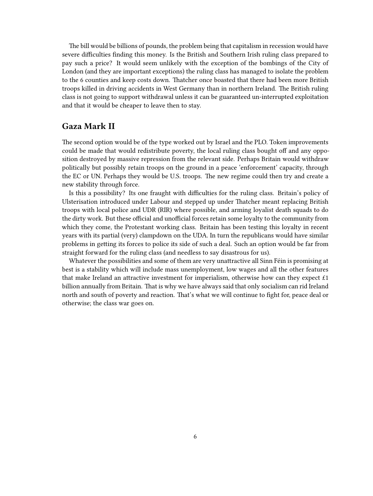The bill would be billions of pounds, the problem being that capitalism in recession would have severe difficulties finding this money. Is the British and Southern Irish ruling class prepared to pay such a price? It would seem unlikely with the exception of the bombings of the City of London (and they are important exceptions) the ruling class has managed to isolate the problem to the 6 counties and keep costs down. Thatcher once boasted that there had been more British troops killed in driving accidents in West Germany than in northern Ireland. The British ruling class is not going to support withdrawal unless it can be guaranteed un-interrupted exploitation and that it would be cheaper to leave then to stay.

### <span id="page-5-0"></span>**Gaza Mark II**

The second option would be of the type worked out by Israel and the PLO. Token improvements could be made that would redistribute poverty, the local ruling class bought off and any opposition destroyed by massive repression from the relevant side. Perhaps Britain would withdraw politically but possibly retain troops on the ground in a peace 'enforcement' capacity, through the EC or UN. Perhaps they would be U.S. troops. The new regime could then try and create a new stability through force.

Is this a possibility? Its one fraught with difficulties for the ruling class. Britain's policy of Ulsterisation introduced under Labour and stepped up under Thatcher meant replacing British troops with local police and UDR (RIR) where possible, and arming loyalist death squads to do the dirty work. But these official and unofficial forces retain some loyalty to the community from which they come, the Protestant working class. Britain has been testing this loyalty in recent years with its partial (very) clampdown on the UDA. In turn the republicans would have similar problems in getting its forces to police its side of such a deal. Such an option would be far from straight forward for the ruling class (and needless to say disastrous for us).

Whatever the possibilities and some of them are very unattractive all Sinn Féin is promising at best is a stability which will include mass unemployment, low wages and all the other features that make Ireland an attractive investment for imperialism, otherwise how can they expect  $£1$ billion annually from Britain. That is why we have always said that only socialism can rid Ireland north and south of poverty and reaction. That's what we will continue to fight for, peace deal or otherwise; the class war goes on.